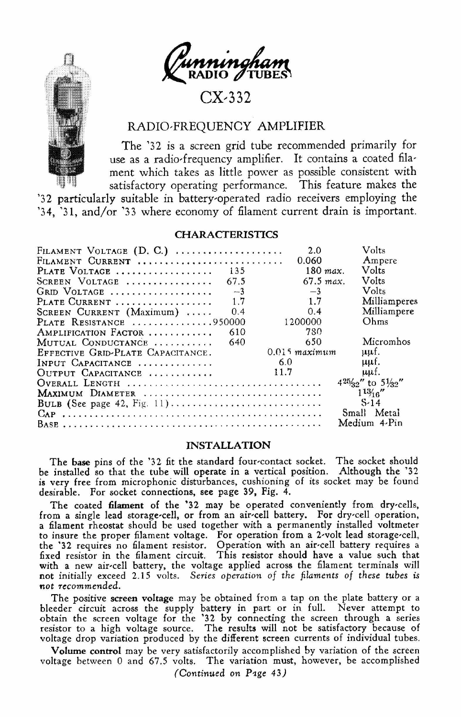

# $CX-332$

## RADIO-FREQUENCY AMPLIFIER

The '32 is a screen grid tube recommended primarily for use as a radio-frequency amplifier. It contains a coated filament which takes as little power as possible consistent with satisfactory operating performance. This feature makes the

'32 particularly suitable in battery-operated radio receivers employing the '34. '31. and/or '33 where economy of filament current drain is important.

## **CHARACTERISTICS**

| FILAMENT VOLTAGE (D. C.)                   | 2.0             | Volts                     |
|--------------------------------------------|-----------------|---------------------------|
| FILAMENT CURRENT                           | 0.060           | Ampere                    |
| PLATE VOLTAGE<br>135                       | 180 max.        | Volts                     |
| 67.5<br>SCREEN VOLTAGE                     | $67.5$ max.     | Volts                     |
| $-3$<br>GRID VOLTAGE                       | $-3$            | <b>Volts</b>              |
| 17<br>PLATE CURRENT                        | 1.7             | Milliamperes              |
| 0 <sub>4</sub><br>SCREEN CURRENT (Maximum) | 0.4             | Milliampere               |
| PLATE RESISTANCE 950000                    | 1200000         | Ohms                      |
| 610<br>AMPLIFICATION FACTOR                | 780             |                           |
| 640<br>MUTUAL CONDUCTANCE                  | 650             | Micromhos                 |
| EFFECTIVE GRID-PLATE CAPACITANCE.          | $0.015$ maximum | uuf.                      |
| INPUT CAPACITANCE                          | 6.0             | uuf.                      |
| OUTPUT CAPACITANCE                         | 11.7            | uuf.                      |
|                                            |                 | $4^{25/32}$ to $5^{1/32}$ |
| MAXIMUM DIAMETER                           |                 | 113/16''                  |
|                                            |                 | $S-14$                    |
|                                            |                 | Small Metal               |
|                                            |                 | Medium 4.Pin              |

### **INSTALLATION**

The base pins of the '32 fit the standard four-contact socket. The socket should be installed so that the tube will operate in a vertical position. Although the '32 is very free from microphonic disturbances, cushioning of its socket may be found desirable. For socket connections, see page 39, Fig. 4.

The coated filament of the '32 may be operated conveniently from dry-cells, from a single lead storage-cell, or from an air-cell battery. For dry-cell operation, a filament rheostat should be used together with a permanently installed voltmeter a numeral interval and the proper filament voltage. For operation from a 2-volt lead storage-cell, the '32 requires no filament resistor. Operation from a 2-volt lead storage-cell, the '32 requires no filament resistor. Op with a new air-cell battery, the voltage applied across the filament terminals will not initially exceed 2.15 volts. Series operation of the filaments of these tubes is not recommended.

The positive screen voltage may be obtained from a tap on the plate battery or a bleeder circuit across the supply battery in part or in full. Never attempt to obtain the screen voltage for the '32 by connecting the screen voltage drop variation produced by the different screen currents of individual tubes.

Volume control may be very satisfactorily accomplished by variation of the screen voltage between 0 and 67.5 volts. The variation must, however, be accomplished

(Continued on Page 43)